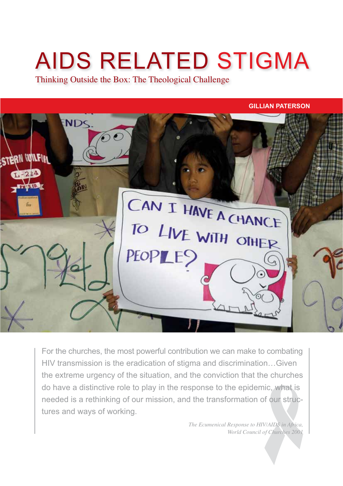# AIDS RELATED STIGMA

Thinking Outside the Box: The Theological Challenge

#### **GILLIAN PATERSON**



For the churches, the most powerful contribution we can make to combating HIV transmission is the eradication of stigma and discrimination…Given the extreme urgency of the situation, and the conviction that the churches do have a distinctive role to play in the response to the epidemic, what is needed is a rethinking of our mission, and the transformation of our structures and ways of working.

> *The Ecumenical Response to HIV/AIDS in Africa, World Council of Churches 2001*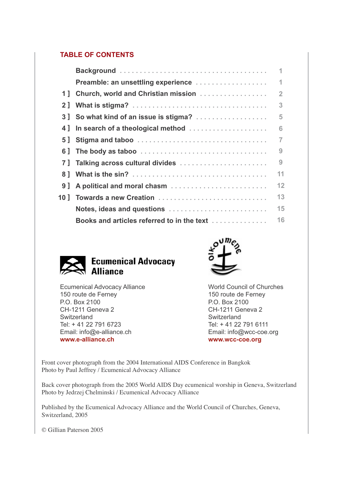# **TABLE OF CONTENTS**

|                                            | 1              |
|--------------------------------------------|----------------|
| Preamble: an unsettling experience         | 1              |
| 1] Church, world and Christian mission     | $\overline{2}$ |
|                                            | 3              |
| 3 So what kind of an issue is stigma?      | 5              |
| 4] In search of a theological method       | 6              |
|                                            | $\overline{7}$ |
|                                            | 9              |
| 7] Talking across cultural divides         | 9              |
|                                            | 11             |
| 9] A political and moral chasm             | 12             |
| 10] Towards a new Creation                 | 13             |
| Notes, ideas and questions                 | 15             |
| Books and articles referred to in the text | 16             |





Ecumenical Advocacy Alliance 150 route de Ferney P.O. Box 2100 CH-1211 Geneva 2 Switzerland Tel: + 41 22 791 6723 Email: info@e-alliance.ch **www.e-alliance.ch**

World Council of Churches 150 route de Ferney P.O. Box 2100 CH-1211 Geneva 2 **Switzerland** Tel: + 41 22 791 6111 Email: info@wcc-coe.org **www.wcc-coe.org**

Front cover photograph from the 2004 International AIDS Conference in Bangkok Photo by Paul Jeffrey / Ecumenical Advocacy Alliance

Back cover photograph from the 2005 World AIDS Day ecumenical worship in Geneva, Switzerland Photo by Jedrzej Chelminski / Ecumenical Advocacy Alliance

Published by the Ecumenical Advocacy Alliance and the World Council of Churches, Geneva, Switzerland, 2005

© Gillian Paterson 2005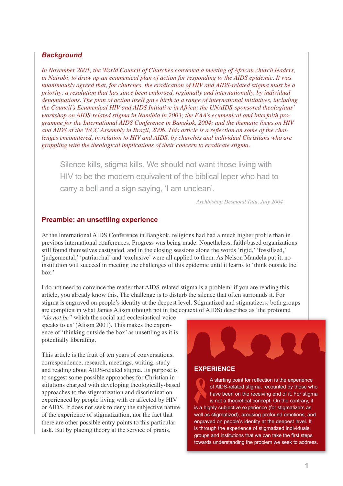# *Background*

*In November 2001, the World Council of Churches convened a meeting of African church leaders, in Nairobi, to draw up an ecumenical plan of action for responding to the AIDS epidemic. It was unanimously agreed that, for churches, the eradication of HIV and AIDS-related stigma must be a priority: a resolution that has since been endorsed, regionally and internationally, by individual denominations. The plan of action itself gave birth to a range of international initiatives, including the Council's Ecumenical HIV and AIDS Initiative in Africa; the UNAIDS-sponsored theologians' workshop on AIDS-related stigma in Namibia in 2003; the EAA's ecumenical and interfaith programme for the International AIDS Conference in Bangkok, 2004; and the thematic focus on HIV*  and AIDS at the WCC Assembly in Brazil, 2006. This article is a reflection on some of the chal*lenges encountered, in relation to HIV and AIDS, by churches and individual Christians who are grappling with the theological implications of their concern to eradicate stigma.*

Silence kills, stigma kills. We should not want those living with HIV to be the modern equivalent of the biblical leper who had to carry a bell and a sign saying, 'I am unclean'.

*Archbishop Desmond Tutu, July 2004*

# **Preamble: an unsettling experience**

At the International AIDS Conference in Bangkok, religions had had a much higher profile than in previous international conferences. Progress was being made. Nonetheless, faith-based organizations still found themselves castigated, and in the closing sessions alone the words 'rigid,' 'fossilised,' 'judgemental,' 'patriarchal' and 'exclusive' were all applied to them. As Nelson Mandela put it, no institution will succeed in meeting the challenges of this epidemic until it learns to 'think outside the box.'

I do not need to convince the reader that AIDS-related stigma is a problem: if you are reading this article, you already know this. The challenge is to disturb the silence that often surrounds it. For stigma is engraved on people's identity at the deepest level. Stigmatized and stigmatizers: both groups are complicit in what James Alison (though not in the context of AIDS) describes as 'the profound

*"do not be"* which the social and ecclesiastical voice speaks to us' (Alison 2001). This makes the experience of 'thinking outside the box' as unsettling as it is potentially liberating.

This article is the fruit of ten years of conversations, correspondence, research, meetings, writing, study and reading about AIDS-related stigma. Its purpose is to suggest some possible approaches for Christian institutions charged with developing theologically-based approaches to the stigmatization and discrimination experienced by people living with or affected by HIV or AIDS. It does not seek to deny the subjective nature of the experience of stigmatization, nor the fact that there are other possible entry points to this particular task. But by placing theory at the service of praxis,

# **EXPERIENCE**

A starting point for reflection is the experience of AIDS-related stigma, recounted by those who have been on the receiving end of it. For stigma is not a theoretical concept. On the contrary, it is a highly subjective experience (for stigmatizers as well as stigmatized), arousing profound emotions, and engraved on people's identity at the deepest level. It is through the experience of stigmatized individuals, groups and institutions that we can take the first steps towards understanding the problem we seek to address.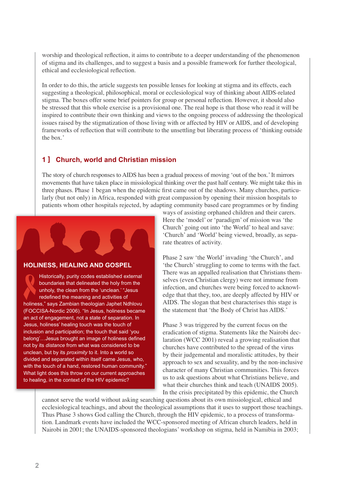worship and theological reflection, it aims to contribute to a deeper understanding of the phenomenon of stigma and its challenges, and to suggest a basis and a possible framework for further theological, ethical and ecclesiological reflection.

In order to do this, the article suggests ten possible lenses for looking at stigma and its effects, each suggesting a theological, philosophical, moral or ecclesiological way of thinking about AIDS-related stigma. The boxes offer some brief pointers for group or personal reflection. However, it should also be stressed that this whole exercise is a provisional one. The real hope is that those who read it will be inspired to contribute their own thinking and views to the ongoing process of addressing the theological issues raised by the stigmatization of those living with or affected by HIV or AIDS, and of developing frameworks of reflection that will contribute to the unsettling but liberating process of 'thinking outside the box.'

# **1 ] Church, world and Christian mission**

The story of church responses to AIDS has been a gradual process of moving 'out of the box.' It mirrors movements that have taken place in missiological thinking over the past half century. We might take this in three phases. Phase 1 began when the epidemic first came out of the shadows. Many churches, particularly (but not only) in Africa, responded with great compassion by opening their mission hospitals to patients whom other hospitals rejected, by adapting community based care programmes or by finding



#### **HOLINESS, HEALING AND GOSPEL**

Historically, purity codes established external boundaries that delineated the holy from the unholy, the clean from the 'unclean.' "Jesus redefined the meaning and activities of holiness," says Zambian theologian Japhet Ndhlovu (FOCCISA-Nordic 2006). "In Jesus, holiness became an act of engagement, not a state of separation. In Jesus, holiness' healing touch was the touch of inclusion and participation; the touch that said 'you belong'... Jesus brought an image of holiness defined not by its *distance* from what was considered to be unclean, but by its *proximity* to it. Into a world so divided and separated within itself came Jesus, who, with the touch of a hand, restored human community." What light does this throw on our current approaches to healing, in the context of the HIV epidemic?

ways of assisting orphaned children and their carers. Here the 'model' or 'paradigm' of mission was 'the Church' going out into 'the World' to heal and save: 'Church' and 'World' being viewed, broadly, as separate theatres of activity.

Phase 2 saw 'the World' invading 'the Church', and 'the Church' struggling to come to terms with the fact. There was an appalled realisation that Christians themselves (even Christian clergy) were not immune from infection, and churches were being forced to acknowledge that that they, too, are deeply affected by HIV or AIDS. The slogan that best characterises this stage is the statement that 'the Body of Christ has AIDS.'

Phase 3 was triggered by the current focus on the eradication of stigma. Statements like the Nairobi declaration (WCC 2001) reveal a growing realisation that churches have contributed to the spread of the virus by their judgemental and moralistic attitudes, by their approach to sex and sexuality, and by the non-inclusive character of many Christian communities. This forces us to ask questions about what Christians believe, and what their churches think and teach (UNAIDS 2005). In the crisis precipitated by this epidemic, the Church

cannot serve the world without asking searching questions about its own missiological, ethical and ecclesiological teachings, and about the theological assumptions that it uses to support those teachings. Thus Phase 3 shows God calling the Church, through the HIV epidemic, to a process of transformation. Landmark events have included the WCC-sponsored meeting of African church leaders, held in Nairobi in 2001; the UNAIDS-sponsored theologians' workshop on stigma, held in Namibia in 2003;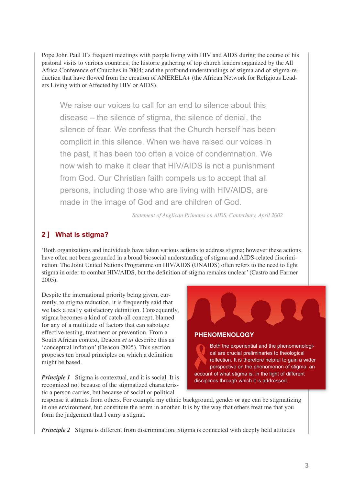Pope John Paul II's frequent meetings with people living with HIV and AIDS during the course of his pastoral visits to various countries; the historic gathering of top church leaders organized by the All Africa Conference of Churches in 2004; and the profound understandings of stigma and of stigma-reduction that have flowed from the creation of ANERELA+ (the African Network for Religious Leaders Living with or Affected by HIV or AIDS).

We raise our voices to call for an end to silence about this disease – the silence of stigma, the silence of denial, the silence of fear. We confess that the Church herself has been complicit in this silence. When we have raised our voices in the past, it has been too often a voice of condemnation. We now wish to make it clear that HIV/AIDS is not a punishment from God. Our Christian faith compels us to accept that all persons, including those who are living with HIV/AIDS, are made in the image of God and are children of God.

*Statement of Anglican Primates on AIDS, Canterbury, April 2002*

# **2 ] What is stigma?**

'Both organizations and individuals have taken various actions to address stigma; however these actions have often not been grounded in a broad biosocial understanding of stigma and AIDS-related discrimination. The Joint United Nations Programme on HIV/AIDS (UNAIDS) often refers to the need to fight stigma in order to combat HIV/AIDS, but the definition of stigma remains unclear' (Castro and Farmer 2005).

Despite the international priority being given, currently, to stigma reduction, it is frequently said that we lack a really satisfactory definition. Consequently, stigma becomes a kind of catch-all concept, blamed for any of a multitude of factors that can sabotage effective testing, treatment or prevention. From a South African context, Deacon *et al* describe this as 'conceptual inflation' (Deacon 2005). This section proposes ten broad principles on which a definition might be based.

*Principle 1* Stigma is contextual, and it is social. It is recognized not because of the stigmatized characteristic a person carries, but because of social or political

Both the experiential and the phenomenologi-**PHENOMENOLOGY**

cal are crucial preliminaries to theological reflection. It is therefore helpful to gain a wider perspective on the phenomenon of stigma: an account of what stigma is, in the light of different disciplines through which it is addressed.

response it attracts from others. For example my ethnic background, gender or age can be stigmatizing in one environment, but constitute the norm in another. It is by the way that others treat me that you form the judgement that I carry a stigma.

*Principle 2* Stigma is different from discrimination. Stigma is connected with deeply held attitudes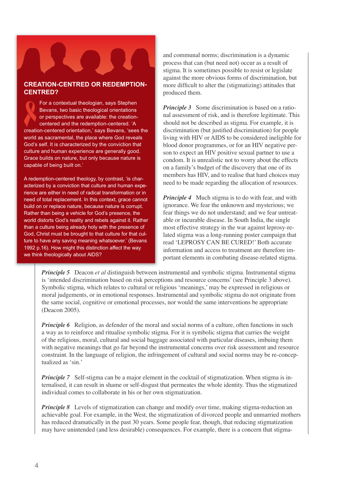#### **CREATION-CENTRED OR REDEMPTION-CENTRED?**

For a contextual theologian, says Stephen Bevans, two basic theological orientations or perspectives are available: the creationcentered and the redemption-centered. 'A creation-centered orientation,' says Bevans, 'sees the world as sacramental, the place where God reveals God's self. It is characterized by the conviction that culture and human experience are generally good. Grace builds on nature, but only because nature is capable of being built on.'

A redemption-centered theology, by contrast, 'is characterized by a conviction that culture and human experience are either in need of radical transformation or in need of total replacement. In this context, grace cannot build on or replace nature, because nature is corrupt. Rather than being a vehicle for God's presence, the world distorts God's reality and rebels against it. Rather than a culture being already holy with the presence of God, Christ must be brought to that culture for that culture to have any saving meaning whatsoever.' (Bevans 1992 p.16). How might this distinction affect the way we think theologically about AIDS?

and communal norms; discrimination is a dynamic process that can (but need not) occur as a result of stigma. It is sometimes possible to resist or legislate against the more obvious forms of discrimination, but more difficult to alter the (stigmatizing) attitudes that produced them.

*Principle 3* Some discrimination is based on a rational assessment of risk, and is therefore legitimate. This should not be described as stigma. For example, it is discrimination (but justified discrimination) for people living with HIV or AIDS to be considered ineligible for blood donor programmes, or for an HIV negative person to expect an HIV positive sexual partner to use a condom. It is unrealistic not to worry about the effects on a family's budget of the discovery that one of its members has HIV, and to realise that hard choices may need to be made regarding the allocation of resources.

*Principle 4* Much stigma is to do with fear, and with ignorance. We fear the unknown and mysterious; we fear things we do not understand; and we fear untreatable or incurable disease. In South India, the single most effective strategy in the war against leprosy-related stigma was a long-running poster campaign that read 'LEPROSY CAN BE CURED!' Both accurate information and access to treatment are therefore important elements in combating disease-related stigma.

*Principle 5* Deacon *et al* distinguish between instrumental and symbolic stigma. Instrumental stigma is 'intended discrimination based on risk perceptions and resource concerns' (see Principle 3 above). Symbolic stigma, which relates to cultural or religious 'meanings,' may be expressed in religious or moral judgements, or in emotional responses. Instrumental and symbolic stigma do not originate from the same social, cognitive or emotional processes, nor would the same interventions be appropriate (Deacon 2005).

*Principle 6* Religion, as defender of the moral and social norms of a culture, often functions in such a way as to reinforce and ritualise symbolic stigma. For it is symbolic stigma that carries the weight of the religious, moral, cultural and social baggage associated with particular diseases, imbuing them with negative meanings that go far beyond the instrumental concerns over risk assessment and resource constraint. In the language of religion, the infringement of cultural and social norms may be re-conceptualized as 'sin.'

*Principle 7* Self-stigma can be a major element in the cocktail of stigmatization. When stigma is internalised, it can result in shame or self-disgust that permeates the whole identity. Thus the stigmatized individual comes to collaborate in his or her own stigmatization.

*Principle 8* Levels of stigmatization can change and modify over time, making stigma-reduction an achievable goal. For example, in the West, the stigmatization of divorced people and unmarried mothers has reduced dramatically in the past 30 years. Some people fear, though, that reducing stigmatization may have unintended (and less desirable) consequences. For example, there is a concern that stigma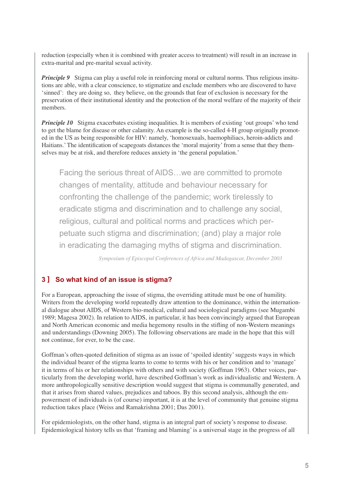reduction (especially when it is combined with greater access to treatment) will result in an increase in extra-marital and pre-marital sexual activity.

*Principle 9* Stigma can play a useful role in reinforcing moral or cultural norms. Thus religious insitutions are able, with a clear conscience, to stigmatize and exclude members who are discovered to have 'sinned': they are doing so, they believe, on the grounds that fear of exclusion is necessary for the preservation of their institutional identity and the protection of the moral welfare of the majority of their members.

*Principle 10* Stigma exacerbates existing inequalities. It is members of existing 'out groups' who tend to get the blame for disease or other calamity. An example is the so-called 4-H group originally promoted in the US as being responsible for HIV: namely, 'homosexuals, haemophiliacs, heroin-addicts and Haitians.' The identification of scapegoats distances the 'moral majority' from a sense that they themselves may be at risk, and therefore reduces anxiety in 'the general population.'

Facing the serious threat of AIDS…we are committed to promote changes of mentality, attitude and behaviour necessary for confronting the challenge of the pandemic; work tirelessly to eradicate stigma and discrimination and to challenge any social, religious, cultural and political norms and practices which perpetuate such stigma and discrimination; (and) play a major role in eradicating the damaging myths of stigma and discrimination.

*Symposium of Episcopal Conferences of Africa and Madagascar, December 2003*

# **3 ] So what kind of an issue is stigma?**

For a European, approaching the issue of stigma, the overriding attitude must be one of humility. Writers from the developing world repeatedly draw attention to the dominance, within the international dialogue about AIDS, of Western bio-medical, cultural and sociological paradigms (see Mugambi 1989; Magesa 2002). In relation to AIDS, in particular, it has been convincingly argued that European and North American economic and media hegemony results in the stifling of non-Western meanings and understandings (Downing 2005). The following observations are made in the hope that this will not continue, for ever, to be the case.

Goffman's often-quoted definition of stigma as an issue of 'spoiled identity' suggests ways in which the individual bearer of the stigma learns to come to terms with his or her condition and to 'manage' it in terms of his or her relationships with others and with society (Goffman 1963). Other voices, particularly from the developing world, have described Goffman's work as individualistic and Western. A more anthropologically sensitive description would suggest that stigma is communally generated, and that it arises from shared values, prejudices and taboos. By this second analysis, although the empowerment of individuals is (of course) important, it is at the level of community that genuine stigma reduction takes place (Weiss and Ramakrishna 2001; Das 2001).

For epidemiologists, on the other hand, stigma is an integral part of society's response to disease. Epidemiological history tells us that 'framing and blaming' is a universal stage in the progress of all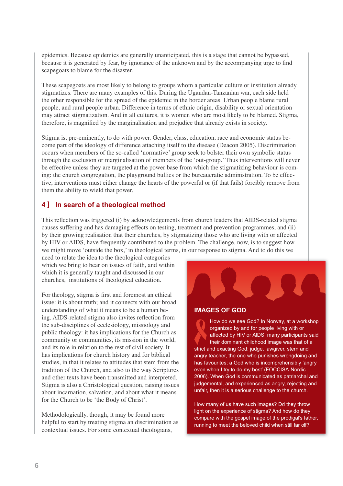epidemics. Because epidemics are generally unanticipated, this is a stage that cannot be bypassed, because it is generated by fear, by ignorance of the unknown and by the accompanying urge to find scapegoats to blame for the disaster.

These scapegoats are most likely to belong to groups whom a particular culture or institution already stigmatizes. There are many examples of this. During the Ugandan-Tanzanian war, each side held the other responsible for the spread of the epidemic in the border areas. Urban people blame rural people, and rural people urban. Difference in terms of ethnic origin, disability or sexual orientation may attract stigmatization. And in all cultures, it is women who are most likely to be blamed. Stigma, therefore, is magnified by the marginalisation and prejudice that already exists in society.

Stigma is, pre-eminently, to do with power. Gender, class, education, race and economic status become part of the ideology of difference attaching itself to the disease (Deacon 2005). Discrimination occurs when members of the so-called 'normative' group seek to bolster their own symbolic status through the exclusion or marginalisation of members of the 'out-group.' Thus interventions will never be effective unless they are targeted at the power base from which the stigmatizing behaviour is coming: the church congregation, the playground bullies or the bureaucratic administration. To be effective, interventions must either change the hearts of the powerful or (if that fails) forcibly remove from them the ability to wield that power.

# **4 ] In search of a theological method**

This reflection was triggered (i) by acknowledgements from church leaders that AIDS-related stigma causes suffering and has damaging effects on testing, treatment and prevention programmes, and (ii) by their growing realisation that their churches, by stigmatizing those who are living with or affected by HIV or AIDS, have frequently contributed to the problem. The challenge, now, is to suggest how we might move 'outside the box,' in theological terms, in our response to stigma. And to do this we

need to relate the idea to the theological categories which we bring to bear on issues of faith, and within which it is generally taught and discussed in our churches, institutions of theological education.

For theology, stigma is first and foremost an ethical issue: it is about truth; and it connects with our broad understanding of what it means to be a human being. AIDS-related stigma also invites reflection from the sub-disciplines of ecclesiology, missiology and public theology: it has implications for the Church as community or communities, its mission in the world, and its role in relation to the rest of civil society. It has implications for church history and for biblical studies, in that it relates to attitudes that stem from the tradition of the Church, and also to the way Scriptures and other texts have been transmitted and interpreted. Stigma is also a Christological question, raising issues about incarnation, salvation, and about what it means for the Church to be 'the Body of Christ'.

Methodologically, though, it may be found more helpful to start by treating stigma an discrimination as contextual issues. For some contextual theologians,



#### **IMAGES OF GOD**

How do we see God? In Norway, at a workshop organized by and for people living with or affected by HIV or AIDS, many participants said their dominant childhood image was that of a strict and exacting God: judge, lawgiver, stern and angry teacher, the one who punishes wrongdoing and has favourites; a God who is incomprehensibly 'angry even when I try to do my best' (FOCCISA-Nordic 2006). When God is communicated as patriarchal and judgemental, and experienced as angry, rejecting and unfair, then it is a serious challenge to the church.

How many of us have such images? Dd they throw light on the experience of stigma? And how do they compare with the gospel image of the prodigal's father, running to meet the beloved child when still far off?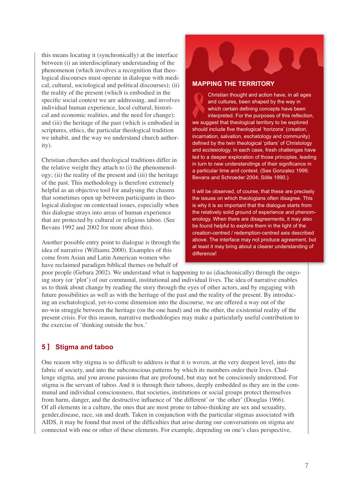this means locating it (synchronically) at the interface between (i) an interdisciplinary understanding of the phenomenon (which involves a recognition that theological discourses must operate in dialogue with medical, cultural, sociological and political discourses); (ii) the reality of the present (which is embodied in the specific social context we are addressing, and involves individual human experience, local cultural, historical and economic realities, and the need for change); and (iii) the heritage of the past (which is embodied in scriptures, ethics, the particular theological tradition we inhabit, and the way we understand church authority).

Christian churches and theological traditions differ in the relative weight they attach to (i) the phenomenology; (ii) the reality of the present and (iii) the heritage of the past. This methodology is therefore extremely helpful as an objective tool for analysing the chasms that sometimes open up between participants in theological dialogue on contextual issues, especially when this dialogue strays into areas of human experience that are protected by cultural or religious taboo. (See Bevans 1992 and 2002 for more about this).

Another possible entry point to dialogue is through the idea of narrative (Williams 2000). Examples of this come from Asian and Latin American women who have reclaimed paradigm biblical themes on behalf of

#### **MAPPING THE TERRITORY**

Christian thought and action have, in all ages and cultures, been shaped by the way in which certain defining concepts have been interpreted. For the purposes of this reflection, we suggest that theological territory to be explored should include five theological 'horizons' (creation, incarnation, salvation, eschatology and community) defined by the twin theological 'pillars' of Christology and ecclesiology. In each case, fresh challenges have led to a deeper exploration of those principles, leading in turn to new understandings of their significance in a particular time and context. (See Gonzalez 1999; Bevans and Schroeder 2004; Sölle 1990.)

It will be observed, of course, that these are precisely the issues on which theologians often disagree. This is why it is so important that the dialogue starts from the relatively solid ground of experience and phenomenology. When there are disagreements, it may also be found helpful to explore them in the light of the creation-centred / redemption-centred axis described above. The interface may not produce agreement, but at least it may bring about a clearer understanding of difference!

poor people (Gebara 2002). We understand what is happening to us (diachronically) through the ongoing story (or 'plot') of our communal, institutional and individual lives. The idea of narrative enables us to think about change by reading the story through the eyes of other actors, and by engaging with future possibilities as well as with the heritage of the past and the reality of the present. By introducing an eschatological, yet-to-come dimension into the discourse, we are offered a way out of the no-win struggle between the heritage (on the one hand) and on the other, the existential reality of the present crisis. For this reason, narrative methodologies may make a particularly useful contribution to the exercise of 'thinking outside the box.'

# **5 ] Stigma and taboo**

One reason why stigma is so difficult to address is that it is woven, at the very deepest level, into the fabric of society, and into the subconscious patterns by which its members order their lives. Challenge stigma, and you arouse passions that are profound, but may not be consciously understood. For stigma is the servant of taboo. And it is through their taboos, deeply embedded as they are in the communal and individual consciousness, that societies, institutions or social groups protect themselves from harm, danger, and the destructive influence of 'the different' or 'the other' (Douglas 1966). Of all elements in a culture, the ones that are most prone to taboo-thinking are sex and sexuality, gender,disease, race, sin and death. Taken in conjunction with the particular stigmas associated with AIDS, it may be found that most of the difficulties that arise during our conversations on stigma are connected with one or other of these elements. For example, depending on one's class perspective,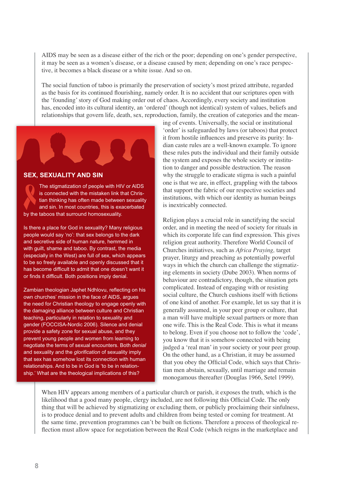AIDS may be seen as a disease either of the rich or the poor; depending on one's gender perspective, it may be seen as a women's disease, or a disease caused by men; depending on one's race perspective, it becomes a black disease or a white issue. And so on.

The social function of taboo is primarily the preservation of society's most prized attribute, regarded as the basis for its continued flourishing, namely order. It is no accident that our scriptures open with the 'founding' story of God making order out of chaos. Accordingly, every society and institution has, encoded into its cultural identity, an 'ordered' (though not identical) system of values, beliefs and relationships that govern life, death, sex, reproduction, family, the creation of categories and the mean-



The stigmatization of people with HIV or AIDS is connected with the mistaken link that Christian thinking has often made between sexuality and sin. In most countries, this is exacerbated by the taboos that surround homosexuality.

Is there a place for God in sexuality? Many religious people would say 'no': that sex belongs to the dark and secretive side of human nature, hemmed in with guilt, shame and taboo. By contrast, the media (especially in the West) are full of sex, which appears to be so freely available and openly discussed that it has become difficult to admit that one doesn't want it or finds it difficult. Both positions imply denial.

Zambian theologian Japhet Ndhlovu, reflecting on his own churches' mission in the face of AIDS, argues the need for Christian theology to engage openly with the damaging alliance between culture and Christian teaching, particularly in relation to sexuality and gender (FOCCISA-Nordic 2006). Silence and denial provide a safety zone for sexual abuse, and they prevent young people and women from learning to negotiate the terms of sexual encounters. Both *denial* and sexuality and the *glorification* of sexuality imply that sex has somehow lost its connection with human relationships. And to be in God is 'to be in relationship.' What are the theological implications of this?

ing of events. Universally, the social or institutional 'order' is safeguarded by laws (or taboos) that protect it from hostile influences and preserve its purity: Indian caste rules are a well-known example. To ignore these rules puts the individual and their family outside the system and exposes the whole society or institution to danger and possible destruction. The reason why the struggle to eradicate stigma is such a painful one is that we are, in effect, grappling with the taboos that support the fabric of our respective societies and institutions, with which our identity as human beings is inextricably connected.

Religion plays a crucial role in sanctifying the social order, and in meeting the need of society for rituals in which its corporate life can find expression. This gives religion great authority. Therefore World Council of Churches initiatives, such as *Africa Praying,* target prayer, liturgy and preaching as potentially powerful ways in which the church can challenge the stigmatizing elements in society (Dube 2003). When norms of behaviour are contradictory, though, the situation gets complicated. Instead of engaging with or resisting social culture, the Church cushions itself with fictions of one kind of another. For example, let us say that it is generally assumed, in your peer group or culture, that a man will have multiple sexual partners or more than one wife. This is the Real Code. This is what it means to belong. Even if you choose not to follow the 'code', you know that it is somehow connected with being judged a 'real man' in your society or your peer group. On the other hand, as a Christian, it may be assumed that you obey the Official Code, which says that Christian men abstain, sexually, until marriage and remain monogamous thereafter (Douglas 1966, Setel 1999).

When HIV appears among members of a particular church or parish, it exposes the truth, which is the likelihood that a good many people, clergy included, are not following this Official Code. The only thing that will be achieved by stigmatizing or excluding them, or publicly proclaiming their sinfulness, is to produce denial and to prevent adults and children from being tested or coming for treatment. At the same time, prevention programmes can't be built on fictions. Therefore a process of theological reflection must allow space for negotiation between the Real Code (which reigns in the marketplace and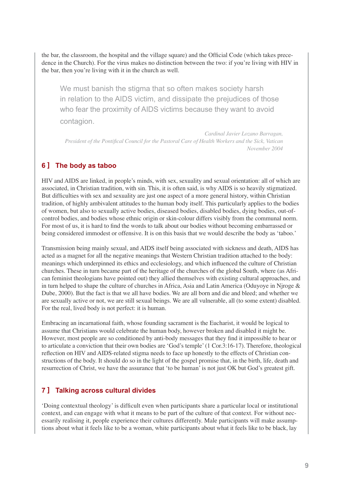the bar, the classroom, the hospital and the village square) and the Official Code (which takes precedence in the Church). For the virus makes no distinction between the two: if you're living with HIV in the bar, then you're living with it in the church as well.

We must banish the stigma that so often makes society harsh in relation to the AIDS victim, and dissipate the prejudices of those who fear the proximity of AIDS victims because they want to avoid contagion.

*Cardinal Javier Lozano Barragan, 3UHverident of the Pontifical Council for the Pastoral Care of Health Workers and the Sick, Vatican November 2004*

# **6 ] The body as taboo**

HIV and AIDS are linked, in people's minds, with sex, sexuality and sexual orientation: all of which are associated, in Christian tradition, with sin. This, it is often said, is why AIDS is so heavily stigmatized. But difficulties with sex and sexuality are just one aspect of a more general history, within Christian tradition, of highly ambivalent attitudes to the human body itself. This particularly applies to the bodies of women, but also to sexually active bodies, diseased bodies, disabled bodies, dying bodies, out-ofcontrol bodies, and bodies whose ethnic origin or skin-colour differs visibly from the communal norm. For most of us, it is hard to find the words to talk about our bodies without becoming embarrassed or being considered immodest or offensive. It is on this basis that we would describe the body as 'taboo.'

Transmission being mainly sexual, and AIDS itself being associated with sickness and death, AIDS has acted as a magnet for all the negative meanings that Western Christian tradition attached to the body: meanings which underpinned its ethics and ecclesiology, and which influenced the culture of Christian churches. These in turn became part of the heritage of the churches of the global South, where (as African feminist theologians have pointed out) they allied themselves with existing cultural approaches, and in turn helped to shape the culture of churches in Africa, Asia and Latin America (Oduyoye in Njroge & Dube, 2000). But the fact is that we all have bodies. We are all born and die and bleed; and whether we are sexually active or not, we are still sexual beings. We are all vulnerable, all (to some extent) disabled. For the real, lived body is not perfect: it is human.

Embracing an incarnational faith, whose founding sacrament is the Eucharist, it would be logical to assume that Christians would celebrate the human body, however broken and disabled it might be. However, most people are so conditioned by anti-body messages that they find it impossible to hear or to articulate a conviction that their own bodies are 'God's temple' (1 Cor.3:16-17). Therefore, theological reflection on HIV and AIDS-related stigma needs to face up honestly to the effects of Christian constructions of the body. It should do so in the light of the gospel promise that, in the birth, life, death and resurrection of Christ, we have the assurance that 'to be human' is not just OK but God's greatest gift.

# **7 ] Talking across cultural divides**

"Doing contextual theology" is difficult even when participants share a particular local or institutional context, and can engage with what it means to be part of the culture of that context. For without necessarily realising it, people experience their cultures differently. Male participants will make assumptions about what it feels like to be a woman, white participants about what it feels like to be black, lay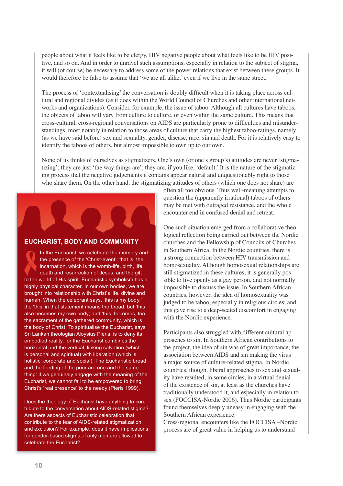people about what it feels like to be clergy, HIV negative people about what feels like to be HIV positive, and so on. And in order to unravel such assumptions, especially in relation to the subject of stigma, it will (of course) be necessary to address some of the power relations that exist between these groups. It would therefore be false to assume that 'we are all alike,' even if we live in the same street.

The process of 'contextualising' the conversation is doubly difficult when it is taking place across cultural and regional divides (as it does within the World Council of Churches and other international networks and organizations). Consider, for example, the issue of taboo. Although all cultures have taboos, the objects of taboo will vary from culture to culture, or even within the same culture. This means that cross-cultural, cross-regional conversations on AIDS are particularly prone to difficulties and misunderstandings, most notably in relation to those areas of culture that carry the highest taboo-ratings, namely (as we have said before) sex and sexuality, gender, disease, race, sin and death. For it is relatively easy to identify the taboos of others, but almost impossible to own up to our own.

None of us thinks of ourselves as stigmatizers. One's own (or one's group's) attitudes are never 'stigmatizing': they are just 'the way things are'; they are, if you like, 'default.' It is the nature of the stigmatizing process that the negative judgements it contains appear natural and unquestionably right to those who share them. On the other hand, the stigmatizing attitudes of others (which one does not share) are



#### **EUCHARIST, BODY AND COMMUNITY**

In the Eucharist, we celebrate the memory and the presence of the 'Christ-event': that is, the incarnation, which is the womb-life, birth, life, death and resurrection of Jesus, and the gift to the world of His spirit. Eucharistic symbolism has a highly physical character. In our own bodies, we are brought into relationship with Christ's life, divine and human. When the celebrant says, 'this is my body,' the 'this' in that statement means the bread; but 'this' also becomes my own body; and 'this' becomes, too, the sacrament of the gathered community, which is the body of Christ. To spiritualise the Eucharist, says Sri Lankan theologian Aloysius Pieris, is to deny its embodied reality, for the Eucharist combines the horizontal and the vertical, linking salvation (which is personal and spiritual) with liberation (which is holistic, corporate and social). The Eucharistic bread and the feeding of the poor are one and the same thing: if we genuinely engage with the meaning of the Eucharist, we cannot fail to be empowered to bring Christ's 'real presence' to the needy (Pieris 1999).

Does the theology of Eucharist have anything to contribute to the conversation about AIDS-related stigma? Are there aspects of Eucharistic celebration that contribute to the fear of AIDS-related stigmatization and exclusion? For example, does it have implications for gender-based stigma, if only men are allowed to celebrate the Eucharist?

often all too obvious. Thus well-meaning attempts to question the (apparently irrational) taboos of others may be met with outraged resistance, and the whole encounter end in confused denial and retreat.

One such situation emerged from a collaborative theological reflection being carried out between the Nordic churches and the Fellowship of Councils of Churches in Southern Africa. In the Nordic countries, there is a strong connection between HIV transmission and homosexuality. Although homosexual relationships are still stigmatized in these cultures, it is generally possible to live openly as a gay person, and not normally impossible to discuss the issue. In Southern African countries, however, the idea of homosexuality was judged to be taboo, especially in religious circles; and this gave rise to a deep-seated discomfort in engaging with the Nordic experience.

Participants also struggled with different cultural approaches to sin. In Southern African contributions to the project, the idea of sin was of great importance, the association between AIDS and sin making the virus a major source of culture-related stigma. In Nordic countries, though, liberal approaches to sex and sexuality have resulted, in some circles, in a virtual denial of the existence of sin, at least as the churches have traditionally understood it, and especially in relation to sex (FOCCISA-Nordic 2006). Thus Nordic participants found themselves deeply uneasy in engaging with the Southern African experience.

Cross-regional encounters like the FOCCISA –Nordic process are of great value in helping us to understand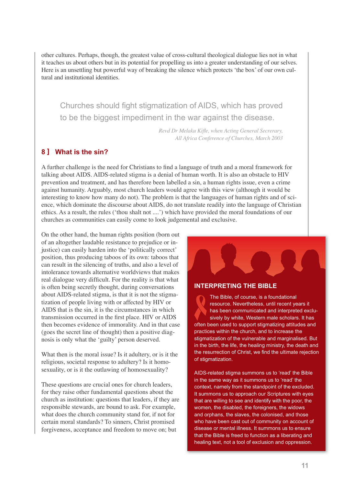other cultures. Perhaps, though, the greatest value of cross-cultural theological dialogue lies not in what it teaches us about others but in its potential for propelling us into a greater understanding of our selves. Here is an unsettling but powerful way of breaking the silence which protects 'the box' of our own cultural and institutional identities.

Churches should fight stigmatization of AIDS, which has proved to be the biggest impediment in the war against the disease.

> *Revd Dr Melaku Kifle, when Acting General Secrerary. All Africa Conference of Churches, March 2003*

# **8 ] What is the sin?**

A further challenge is the need for Christians to find a language of truth and a moral framework for talking about AIDS. AIDS-related stigma is a denial of human worth. It is also an obstacle to HIV prevention and treatment, and has therefore been labelled a sin, a human rights issue, even a crime against humanity. Arguably, most church leaders would agree with this view (although it would be interesting to know how many do not). The problem is that the languages of human rights and of science, which dominate the discourse about AIDS, do not translate readily into the language of Christian ethics. As a result, the rules ('thou shalt not ....') which have provided the moral foundations of our churches as communities can easily come to look judgemental and exclusive.

On the other hand, the human rights position (born out of an altogether laudable resistance to prejudice or injustice) can easily harden into the 'politically correct' position, thus producing taboos of its own: taboos that can result in the silencing of truths, and also a level of intolerance towards alternative worldviews that makes real dialogue very difficult. For the reality is that what is often being secretly thought, during conversations about AIDS-related stigma, is that it is not the stigmatization of people living with or affected by HIV or AIDS that is the sin, it is the circumstances in which transmission occurred in the first place. HIV or AIDS then becomes evidence of immorality. And in that case (goes the secret line of thought) then a positive diagnosis is only what the 'guilty' person deserved.

What then is the moral issue? Is it adultery, or is it the religious, societal response to adultery? Is it homosexuality, or is it the outlawing of homosexuality?

These questions are crucial ones for church leaders, for they raise other fundamental questions about the church as institution: questions that leaders, if they are responsible stewards, are bound to ask. For example, what does the church community stand for, if not for certain moral standards? To sinners, Christ promised forgiveness, acceptance and freedom to move on; but



#### **INTERPRETING THE BIBLE**

The Bible, of course, is a foundational resource. Nevertheless, until recent years it has been communicated and interpreted exclusively by white, Western male scholars. It has often been used to support stigmatizing attitudes and practices within the church, and to increase the stigmatization of the vulnerable and marginalised. But in the birth, the life, the healing ministry, the death and the resurrection of Christ, we find the ultimate rejection of stigmatization.

AIDS-related stigma summons us to 'read' the Bible in the same way as it summons us to 'read' the context, namely from the standpoint of the excluded. It summons us to approach our Scriptures with eyes that are willing to see and identify with the poor, the women, the disabled, the foreigners, the widows and orphans, the slaves, the colonised, and those who have been cast out of community on account of disease or mental illness. It summons us to ensure that the Bible is freed to function as a liberating and healing text, not a tool of exclusion and oppression.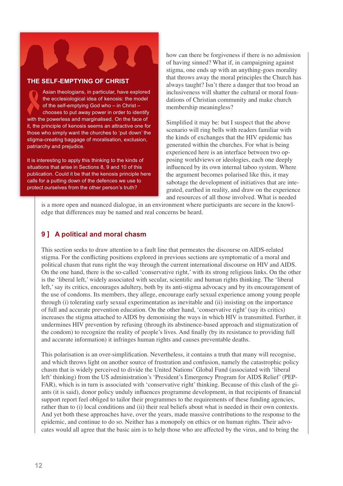

#### **THE SELF-EMPTYING OF CHRIST**

Asian theologians, in particular, have explored the ecclesiological idea of kenosis: the model of the self-emptying God who – in Christ – chooses to put away power in order to identify with the powerless and marginalised. On the face of it, the principle of kenosis seems an attractive one for those who simply want the churches to 'put down' the stigma-creating baggage of moralisation, exclusion, patriarchy and prejudice.

It is interesting to apply this thinking to the kinds of situations that arise in Sections 8, 9 and 10 of this publication. Could it be that the kenosis principle here calls for a putting down of the defences we use to protect ourselves from the other person's truth?

how can there be forgiveness if there is no admission of having sinned? What if, in campaigning against stigma, one ends up with an anything-goes morality that throws away the moral principles the Church has always taught? Isn't there a danger that too broad an inclusiveness will shatter the cultural or moral foundations of Christian community and make church membership meaningless?

Simplified it may be: but I suspect that the above scenario will ring bells with readers familiar with the kinds of exchanges that the HIV epidemic has generated within the churches. For what is being experienced here is an interface between two opposing worldviews or ideologies, each one deeply influenced by its own internal taboo system. Where the argument becomes polarised like this, it may sabotage the development of initiatives that are integrated, earthed in reality, and draw on the experience and resources of all those involved. What is needed

is a more open and nuanced dialogue, in an environment where participants are secure in the knowledge that differences may be named and real concerns be heard.

# **9 ] A political and moral chasm**

This section seeks to draw attention to a fault line that permeates the discourse on AIDS-related stigma. For the conflicting positions explored in previous sections are symptomatic of a moral and political chasm that runs right the way through the current international discourse on HIV and AIDS. On the one hand, there is the so-called 'conservative right,' with its strong religious links. On the other is the 'liberal left,' widely associated with secular, scientific and human rights thinking. The 'liberal left,' say its critics, encourages adultery, both by its anti-stigma advocacy and by its encouragement of the use of condoms. Its members, they allege, encourage early sexual experience among young people through (i) tolerating early sexual experimentation as inevitable and (ii) insisting on the importance of full and accurate prevention education. On the other hand, 'conservative right' (say its critics) increases the stigma attached to AIDS by demonising the ways in which HIV is transmitted. Further, it undermines HIV prevention by refusing (through its abstinence-based approach and stigmatization of the condom) to recognize the reality of people's lives. And finally (by its resistance to providing full and accurate information) it infringes human rights and causes preventable deaths.

This polarisation is an over-simplification. Nevertheless, it contains a truth that many will recognise, and which throws light on another source of frustration and confusion, namely the catastrophic policy chasm that is widely perceived to divide the United Nations' Global Fund (associated with 'liberal left' thinking) from the US administration's 'President's Emergency Program for AIDS Relief' (PEP-FAR), which is in turn is associated with 'conservative right' thinking. Because of this clash of the giants (it is said), donor policy unduly influences programme development, in that recipients of financial support report feel obliged to tailor their programmes to the requirements of these funding agencies, rather than to (i) local conditions and (ii) their real beliefs about what is needed in their own contexts. And yet both these approaches have, over the years, made massive contributions to the response to the epidemic, and continue to do so. Neither has a monopoly on ethics or on human rights. Their advocates would all agree that the basic aim is to help those who are affected by the virus, and to bring the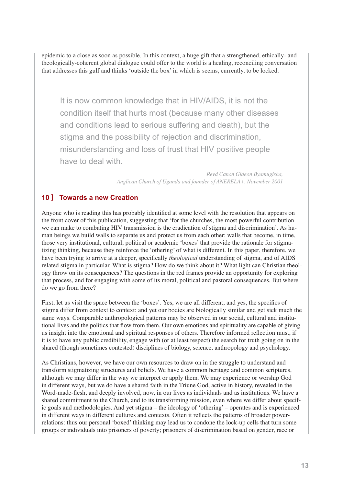epidemic to a close as soon as possible. In this context, a huge gift that a strengthened, ethically- and theologically-coherent global dialogue could offer to the world is a healing, reconciling conversation that addresses this gulf and thinks 'outside the box' in which is seems, currently, to be locked.

It is now common knowledge that in HIV/AIDS, it is not the condition itself that hurts most (because many other diseases and conditions lead to serious suffering and death), but the stigma and the possibility of rejection and discrimination, misunderstanding and loss of trust that HIV positive people have to deal with.

> Revd Canon Gideon Byamugisha, *Anglican Church of Uganda and founder of ANERELA+, November 2001*

# **10 ] Towards a new Creation**

Anyone who is reading this has probably identified at some level with the resolution that appears on the front cover of this publication, suggesting that 'for the churches, the most powerful contribution we can make to combating HIV transmission is the eradication of stigma and discrimination'. As human beings we build walls to separate us and protect us from each other: walls that become, in time, those very institutional, cultural, political or academic 'boxes' that provide the rationale for stigmatizing thinking, because they reinforce the 'othering' of what is different. In this paper, therefore, we have been trying to arrive at a deeper, specifically *theological* understanding of stigma, and of AIDS related stigma in particular. What is stigma? How do we think about it? What light can Christian theology throw on its consequences? The questions in the red frames provide an opportunity for exploring that process, and for engaging with some of its moral, political and pastoral consequences. But where do we go from there?

First, let us visit the space between the 'boxes'. Yes, we are all different; and yes, the specifics of stigma differ from context to context: and yet our bodies are biologically similar and get sick much the same ways. Comparable anthropological patterns may be observed in our social, cultural and institutional lives and the politics that flow from them. Our own emotions and spirituality are capable of giving us insight into the emotional and spiritual responses of others. Therefore informed reflection must, if it is to have any public credibility, engage with (or at least respect) the search for truth going on in the shared (though sometimes contested) disciplines of biology, science, anthropology and psychology.

As Christians, however, we have our own resources to draw on in the struggle to understand and transform stigmatizing structures and beliefs. We have a common heritage and common scriptures, although we may differ in the way we interpret or apply them. We may experience or worship God in different ways, but we do have a shared faith in the Triune God, active in history, revealed in the Word-made-flesh, and deeply involved, now, in our lives as individuals and as institutions. We have a shared commitment to the Church, and to its transforming mission, even where we differ about specific goals and methodologies. And yet stigma – the ideology of 'othering' – operates and is experienced in different ways in different cultures and contexts. Often it reflects the patterns of broader powerrelations: thus our personal 'boxed' thinking may lead us to condone the lock-up cells that turn some groups or individuals into prisoners of poverty; prisoners of discrimination based on gender, race or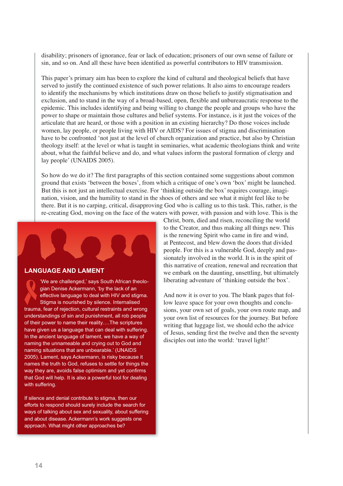disability; prisoners of ignorance, fear or lack of education; prisoners of our own sense of failure or sin, and so on. And all these have been identified as powerful contributors to HIV transmission.

This paper's primary aim has been to explore the kind of cultural and theological beliefs that have served to justify the continued existence of such power relations. It also aims to encourage readers to identify the mechanisms by which institutions draw on those beliefs to justify stigmatisation and exclusion, and to stand in the way of a broad-based, open, flexible and unbureaucratic response to the epidemic. This includes identifying and being willing to change the people and groups who have the power to shape or maintain those cultures and belief systems. For instance, is it just the voices of the articulate that are heard, or those with a position in an existing hierarchy? Do those voices include women, lay people, or people living with HIV or AIDS? For issues of stigma and discrimination have to be confronted 'not just at the level of church organization and practice, but also by Christian theology itself: at the level or what is taught in seminaries, what academic theologians think and write about, what the faithful believe and do, and what values inform the pastoral formation of clergy and lay people' (UNAIDS 2005).

So how do we do it? The first paragraphs of this section contained some suggestions about common ground that exists 'between the boxes', from which a critique of one's own 'box' might be launched. But this is not just an intellectual exercise. For 'thinking outside the box' requires courage, imagination, vision, and the humility to stand in the shoes of others and see what it might feel like to be there. But it is no carping, critical, disapproving God who is calling us to this task. This, rather, is the re-creating God, moving on the face of the waters with power, with passion and with love. This is the



#### **LANGUAGE AND LAMENT**

'We are challenged,' says South African theologian Denise Ackermann, 'by the lack of an effective language to deal with HIV and stigma. Stigma is nourished by silence. Internalised trauma, fear of rejection, cultural restraints and wrong understandings of sin and punishment, all rob people of their power to name their reality….The scriptures have given us a language that can deal with suffering. In the ancient language of lament, we have a way of naming the unnameable and crying out to God and naming situations that are unbearable.' (UNAIDS 2005). Lament, says Ackermann, is risky because it names the truth to God, refuses to settle for things the way they are, avoids false optimism and yet confirms that God will help. It is also a powerful tool for dealing with suffering.

If silence and denial contribute to stigma, then our efforts to respond should surely include the search for ways of talking about sex and sexuality, about suffering and about disease. Ackermann's work suggests one approach. What might other approaches be?

Christ, born, died and risen, reconciling the world to the Creator, and thus making all things new. This is the renewing Spirit who came in fire and wind, at Pentecost, and blew down the doors that divided people. For this is a vulnerable God, deeply and passionately involved in the world. It is in the spirit of this narrative of creation, renewal and recreation that we embark on the daunting, unsettling, but ultimately liberating adventure of 'thinking outside the box'.

And now it is over to you. The blank pages that follow leave space for your own thoughts and conclusions, your own set of goals, your own route map, and your own list of resources for the journey. But before writing that luggage list, we should echo the advice of Jesus, sending first the twelve and then the seventy disciples out into the world: 'travel light!'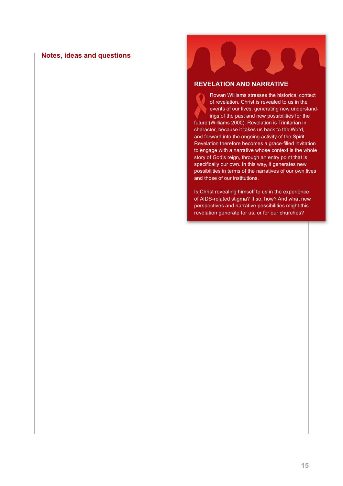#### **Notes, ideas and questions**

#### **REVELATION AND NARRATIVE**

Rowan Williams stresses the historical context of revelation. Christ is revealed to us in the events of our lives, generating new understandings of the past and new possibilities for the future (Williams 2000). Revelation is Trinitarian in character, because it takes us back to the Word, and forward into the ongoing activity of the Spirit. Revelation therefore becomes a grace-filled invitation to engage with a narrative whose context is the whole story of God's reign, through an entry point that is specifically our own. In this way, it generates new possibilities in terms of the narratives of our own lives and those of our institutions.

Is Christ revealing himself to us in the experience of AIDS-related stigma? If so, how? And what new perspectives and narrative possibilities might this revelation generate for us, or for our churches?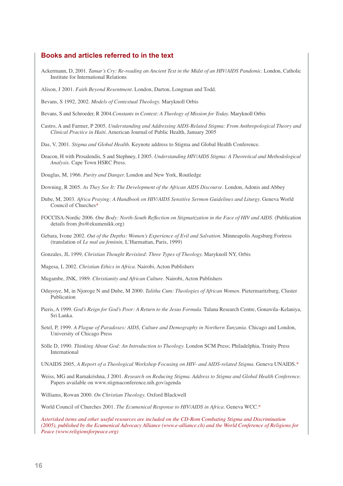#### **Books and articles referred to in the text**

- Ackermann, D, 2001. *Tamar's Cry: Re-reading an Ancient Text in the Midst of an HIV/AIDS Pandemic.* London, Catholic Institute for International Relations
- Alison, J 2001. *Faith Beyond Resentment.* London, Darton, Longman and Todd.
- Bevans, S 1992, 2002. *Models of Contextual Theology.* Maryknoll Orbis
- Bevans, S and Schroeder, R 2004.Constants in Context: A Theology of Mission for Today. Maryknoll Orbis
- Castro, A and Farmer, P 2005. *Understanding and Addressing AIDS-Related Stigma: From Anthropological Theory and Clinical Practice in Haiti.* American Journal of Public Health, January 2005
- Das, V, 2001. *Stigma and Global Health*. Keynote address to Stigma and Global Health Conference.
- Deacon, H with Prosalendis, S and Stephney, I 2005. *Understanding HIV/AIDS Stigma: A Theoretical and Methodological Analysis.* Cape Town HSRC Press.
- Douglas, M, 1966. *Purity and Danger*. London and New York, Routledge
- Downing, R 2005. As They See It: The Development of the African AIDS Discourse. London, Adonis and Abbey
- Dube, M, 2003. *Africa Praying: A Handbook on HIV/AIDS Sensitive Sermon Guidelines and Liturgy*. Geneva World Council of Churches\*
- FOCCISA-Nordic 2006. One Body: North-South Reflection on Stigmatization in the Face of HIV and AIDS. (Publication details from jbs@ekumenikk.org)
- Gebara, Ivone 2002. *Out of the Depths: Women's Experience of Evil and Salvation.* Minneapolis Augsburg Fortress (translation of *Le mal au feminin,* L'Harmattan, Paris, 1999)

Gonzales, JL 1999, *Christian Thought Revisited: Three Types of Theology*. Maryknoll NY, Orbis

- Magesa, L 2002. *Christian Ethics in Africa.* Nairobi, Acton Publishers
- Mugambe, JNK, 1989. *Christianity and African Culture.* Nairobi, Acton Publishers
- Oduyoye, M, in Njoroge N and Dube, M 2000. *Talitha Cum: Theologies of African Women.* Pietermaritzburg, Cluster Publication
- Pieris, A 1999. *God's Reign for God's Poor: A Return to the Jesus Formula*. Tulana Research Centre, Gonawila–Kelaniya, Sri Lanka.
- Setel, P, 1999. *A Plague of Paradoxes: AIDS, Culture and Demography in Northern Tanzania.* Chicago and London, University of Chicago Press
- Sölle D, 1990. *Thinking About God: An Introduction to Theology*. London SCM Press; Philadelphia, Trinity Press International

UNAIDS 2005, *A Report of a Theological Workshop Focusing on HIV- and AIDS-related Stigma.* Geneva UNAIDS.\*

Weiss, MG and Ramakrishna, J 2001. Research on Reducing Stigma. Address to Stigma and Global Health Conference. Papers available on www.stigmaconference.nih.gov/agenda

Williams, Rowan 2000. On Christian Theology. Oxford Blackwell

World Council of Churches 2001. *The Ecumenical Response to HIV/AIDS in Africa.* Geneva WCC.\*

*Asterisked items and other useful resources are included on the CD-Rom Combating Stigma and Discrimination (2005), published by the Ecumenical Advocacy Alliance (www.e-alliance.ch) and the World Conference of Religions for Peace (www.religionsforpeace.org)*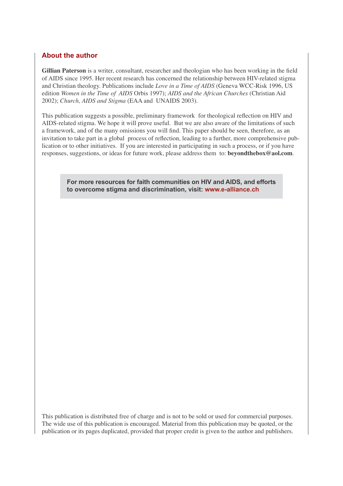# **About the author**

**Gillian Paterson** is a writer, consultant, researcher and theologian who has been working in the field of AIDS since 1995. Her recent research has concerned the relationship between HIV-related stigma and Christian theology. Publications include *Love in a Time of AIDS* (Geneva WCC-Risk 1996, US edition *Women in the Time of AIDS* Orbis 1997); *AIDS and the African Churches* (Christian Aid 2002); *Church, AIDS and Stigma* (EAA and UNAIDS 2003).

This publication suggests a possible, preliminary framework for theological reflection on HIV and AIDS-related stigma. We hope it will prove useful. But we are also aware of the limitations of such a framework, and of the many omissions you will find. This paper should be seen, therefore, as an invitation to take part in a global process of reflection, leading to a further, more comprehensive publication or to other initiatives. If you are interested in participating in such a process, or if you have responses, suggestions, or ideas for future work, please address them to: **beyondthebox@aol.com**.

**For more resources for faith communities on HIV and AIDS, and efforts to overcome stigma and discrimination, visit: www.e-alliance.ch**

This publication is distributed free of charge and is not to be sold or used for commercial purposes. The wide use of this publication is encouraged. Material from this publication may be quoted, or the publication or its pages duplicated, provided that proper credit is given to the author and publishers.